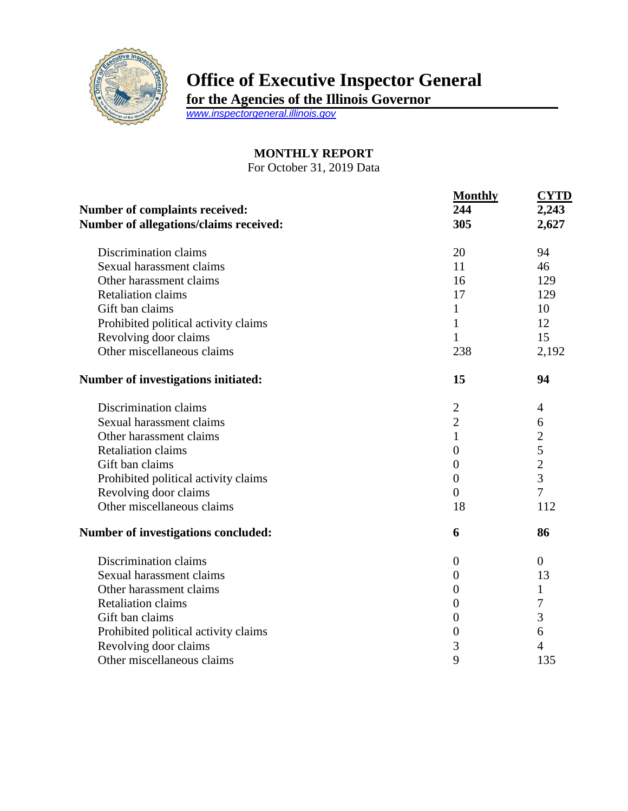

## **Office of Executive Inspector General**

**for the Agencies of the Illinois Governor**

*[www.inspectorgeneral.illinois.gov](http://www.inspectorgeneral.illinois.gov/)*

## **MONTHLY REPORT**

For October 31, 2019 Data

| Number of complaints received:<br>Number of allegations/claims received: | <b>Monthly</b><br>244<br>305 | <b>CYTD</b><br>2,243<br>2,627 |
|--------------------------------------------------------------------------|------------------------------|-------------------------------|
| Discrimination claims                                                    | 20                           | 94                            |
| Sexual harassment claims                                                 | 11                           | 46                            |
| Other harassment claims                                                  | 16                           | 129                           |
| <b>Retaliation claims</b>                                                | 17                           | 129                           |
| Gift ban claims                                                          | $\mathbf{1}$                 | 10                            |
| Prohibited political activity claims                                     | $\mathbf{1}$                 | 12                            |
| Revolving door claims                                                    | $\mathbf{1}$                 | 15                            |
| Other miscellaneous claims                                               | 238                          | 2,192                         |
| Number of investigations initiated:                                      | 15                           | 94                            |
| Discrimination claims                                                    | $\mathbf{2}$                 | $\overline{4}$                |
| Sexual harassment claims                                                 | $\overline{2}$               | 6                             |
| Other harassment claims                                                  | $\mathbf{1}$                 | $\overline{c}$                |
| <b>Retaliation claims</b>                                                | $\boldsymbol{0}$             | 5                             |
| Gift ban claims                                                          | $\overline{0}$               | $\overline{c}$                |
| Prohibited political activity claims                                     | $\overline{0}$               | $\overline{3}$                |
| Revolving door claims                                                    | $\theta$                     | $\overline{7}$                |
| Other miscellaneous claims                                               | 18                           | 112                           |
| Number of investigations concluded:                                      | 6                            | 86                            |
| Discrimination claims                                                    | $\boldsymbol{0}$             | $\overline{0}$                |
| Sexual harassment claims                                                 | $\overline{0}$               | 13                            |
| Other harassment claims                                                  | $\overline{0}$               | 1                             |
| <b>Retaliation claims</b>                                                | $\overline{0}$               | 7                             |
| Gift ban claims                                                          | $\boldsymbol{0}$             | 3                             |
| Prohibited political activity claims                                     | $\boldsymbol{0}$             | 6                             |
| Revolving door claims                                                    | 3                            | 4                             |
| Other miscellaneous claims                                               | 9                            | 135                           |